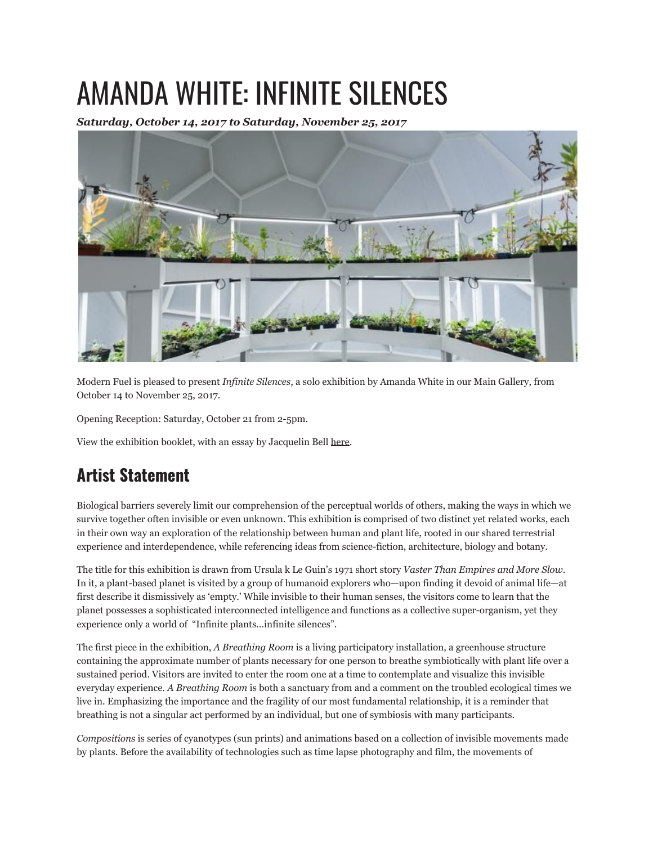## AMANDA WHITE: INFINITE SILENCES

*Saturday, October 14, 2017 to Saturday, November 25, 2017*



Modern Fuel is pleased to present *Infinite Silences*, a solo exhibition by Amanda White in our Main Gallery, from October 14 to November 25, 2017.

Opening Reception: Saturday, October 21 from 2-5pm.

View the exhibition booklet, with an essay by Jacquelin Bell here.

## **Artist Statement**

Biological barriers severely limit our comprehension of the perceptual worlds of others, making the ways in which we survive together often invisible or even unknown. This exhibition is comprised of two distinct yet related works, each in their own way an exploration of the relationship between human and plant life, rooted in our shared terrestrial experience and interdependence, while referencing ideas from science-fiction, architecture, biology and botany.

The title for this exhibition is drawn from Ursula k Le Guin's 1971 short story *Vaster Than Empires and More Slow*. In it, a plant-based planet is visited by a group of humanoid explorers who—upon finding it devoid of animal life—at first describe it dismissively as 'empty.' While invisible to their human senses, the visitors come to learn that the planet possesses a sophisticated interconnected intelligence and functions as a collective super-organism, yet they experience only a world of "Infinite plants…infinite silences".

The first piece in the exhibition, *A Breathing Room* is a living participatory installation, a greenhouse structure containing the approximate number of plants necessary for one person to breathe symbiotically with plant life over a sustained period. Visitors are invited to enter the room one at a time to contemplate and visualize this invisible everyday experience. *A Breathing Room* is both a sanctuary from and a comment on the troubled ecological times we live in. Emphasizing the importance and the fragility of our most fundamental relationship, it is a reminder that breathing is not a singular act performed by an individual, but one of symbiosis with many participants.

*Compositions* is series of cyanotypes (sun prints) and animations based on a collection of invisible movements made by plants. Before the availability of technologies such as time lapse photography and film, the movements of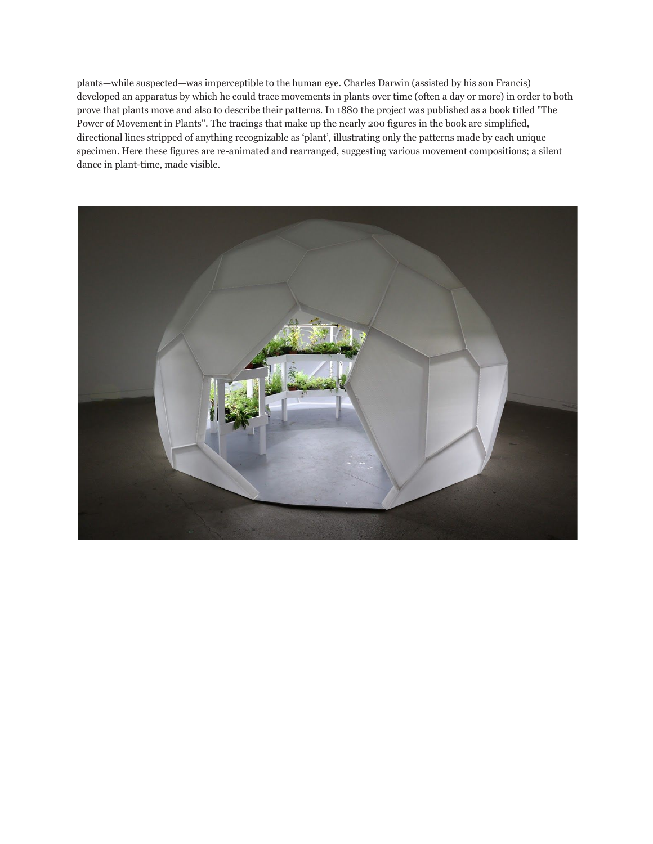plants—while suspected—was imperceptible to the human eye. Charles Darwin (assisted by his son Francis) developed an apparatus by which he could trace movements in plants over time (often a day or more) in order to both prove that plants move and also to describe their patterns. In 1880 the project was published as a book titled "The Power of Movement in Plants". The tracings that make up the nearly 200 figures in the book are simplified, directional lines stripped of anything recognizable as 'plant', illustrating only the patterns made by each unique specimen. Here these figures are re-animated and rearranged, suggesting various movement compositions; a silent dance in plant-time, made visible.

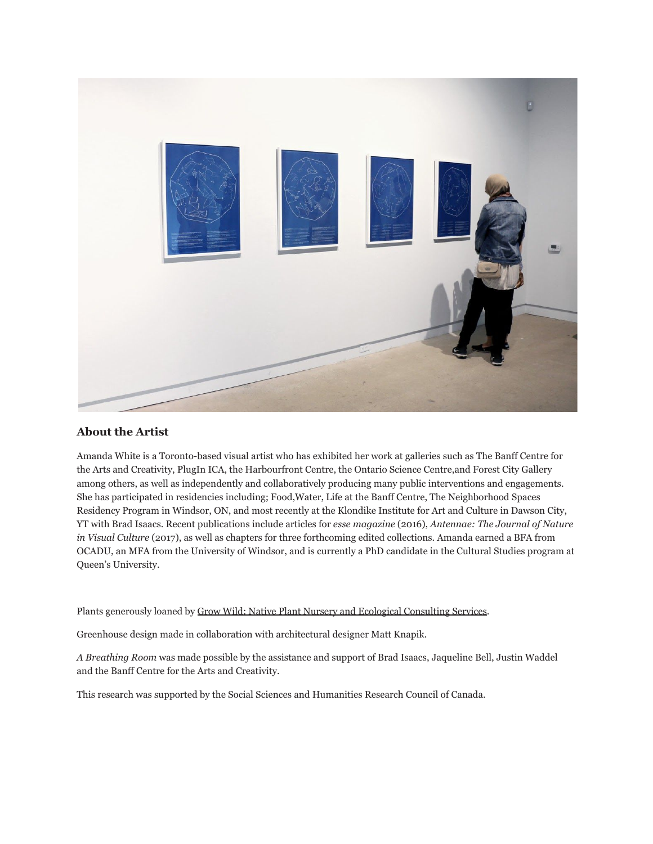

## **About the Artist**

Amanda White is a Toronto-based visual artist who has exhibited her work at galleries such as The Banff Centre for the Arts and Creativity, PlugIn ICA, the Harbourfront Centre, the Ontario Science Centre,and Forest City Gallery among others, as well as independently and collaboratively producing many public interventions and engagements. She has participated in residencies including; Food,Water, Life at the Banff Centre, The Neighborhood Spaces Residency Program in Windsor, ON, and most recently at the Klondike Institute for Art and Culture in Dawson City, YT with Brad Isaacs. Recent publications include articles for *esse magazine* (2016), *Antennae: The Journal of Nature in Visual Culture* (2017), as well as chapters for three forthcoming edited collections. Amanda earned a BFA from OCADU, an MFA from the University of Windsor, and is currently a PhD candidate in the Cultural Studies program at Queen's University.

Plants generously loaned by Grow Wild: Native Plant Nursery and Ecological Consulting Services.

Greenhouse design made in collaboration with architectural designer Matt Knapik.

*A Breathing Room* was made possible by the assistance and support of Brad Isaacs, Jaqueline Bell, Justin Waddel and the Banff Centre for the Arts and Creativity.

This research was supported by the Social Sciences and Humanities Research Council of Canada.